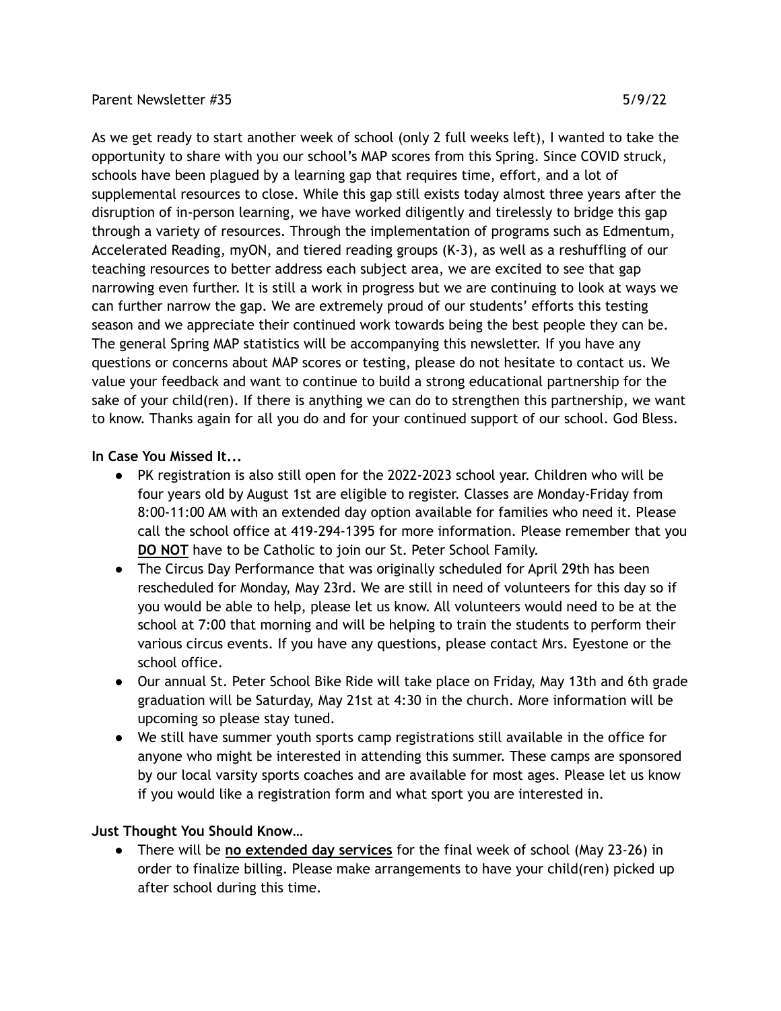## Parent Newsletter #35 5/9/22

As we get ready to start another week of school (only 2 full weeks left), I wanted to take the opportunity to share with you our school's MAP scores from this Spring. Since COVID struck, schools have been plagued by a learning gap that requires time, effort, and a lot of supplemental resources to close. While this gap still exists today almost three years after the disruption of in-person learning, we have worked diligently and tirelessly to bridge this gap through a variety of resources. Through the implementation of programs such as Edmentum, Accelerated Reading, myON, and tiered reading groups (K-3), as well as a reshuffling of our teaching resources to better address each subject area, we are excited to see that gap narrowing even further. It is still a work in progress but we are continuing to look at ways we can further narrow the gap. We are extremely proud of our students' efforts this testing season and we appreciate their continued work towards being the best people they can be. The general Spring MAP statistics will be accompanying this newsletter. If you have any questions or concerns about MAP scores or testing, please do not hesitate to contact us. We value your feedback and want to continue to build a strong educational partnership for the sake of your child(ren). If there is anything we can do to strengthen this partnership, we want to know. Thanks again for all you do and for your continued support of our school. God Bless.

## **In Case You Missed It...**

- PK registration is also still open for the 2022-2023 school year. Children who will be four years old by August 1st are eligible to register. Classes are Monday-Friday from 8:00-11:00 AM with an extended day option available for families who need it. Please call the school office at 419-294-1395 for more information. Please remember that you **DO NOT** have to be Catholic to join our St. Peter School Family.
- The Circus Day Performance that was originally scheduled for April 29th has been rescheduled for Monday, May 23rd. We are still in need of volunteers for this day so if you would be able to help, please let us know. All volunteers would need to be at the school at 7:00 that morning and will be helping to train the students to perform their various circus events. If you have any questions, please contact Mrs. Eyestone or the school office.
- Our annual St. Peter School Bike Ride will take place on Friday, May 13th and 6th grade graduation will be Saturday, May 21st at 4:30 in the church. More information will be upcoming so please stay tuned.
- We still have summer youth sports camp registrations still available in the office for anyone who might be interested in attending this summer. These camps are sponsored by our local varsity sports coaches and are available for most ages. Please let us know if you would like a registration form and what sport you are interested in.

## **Just Thought You Should Know…**

● There will be **no extended day services** for the final week of school (May 23-26) in order to finalize billing. Please make arrangements to have your child(ren) picked up after school during this time.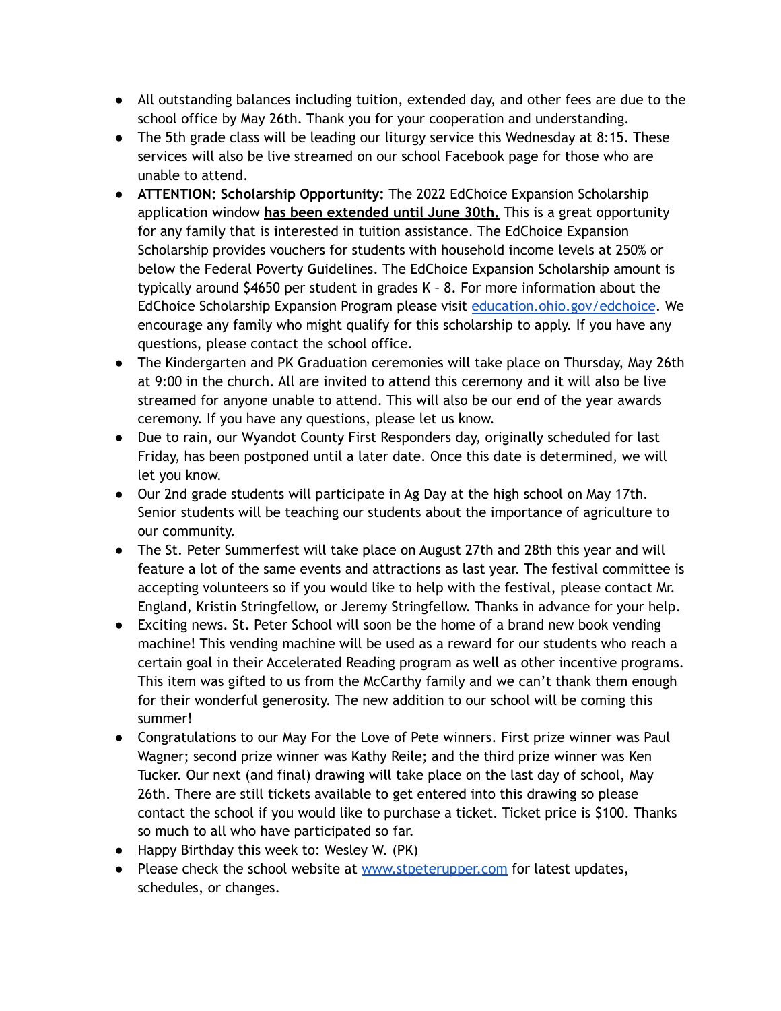- All outstanding balances including tuition, extended day, and other fees are due to the school office by May 26th. Thank you for your cooperation and understanding.
- The 5th grade class will be leading our liturgy service this Wednesday at 8:15. These services will also be live streamed on our school Facebook page for those who are unable to attend.
- **ATTENTION: Scholarship Opportunity:** The 2022 EdChoice Expansion Scholarship application window **has been extended until June 30th.** This is a great opportunity for any family that is interested in tuition assistance. The EdChoice Expansion Scholarship provides vouchers for students with household income levels at 250% or below the Federal Poverty Guidelines. The EdChoice Expansion Scholarship amount is typically around \$4650 per student in grades K – 8. For more information about the EdChoice Scholarship Expansion Program please visit [education.ohio.gov/edchoice](http://education.ohio.gov/Topics/Other-Resources/Scholarships/EdChoice-Scholarship-Program). We encourage any family who might qualify for this scholarship to apply. If you have any questions, please contact the school office.
- The Kindergarten and PK Graduation ceremonies will take place on Thursday, May 26th at 9:00 in the church. All are invited to attend this ceremony and it will also be live streamed for anyone unable to attend. This will also be our end of the year awards ceremony. If you have any questions, please let us know.
- Due to rain, our Wyandot County First Responders day, originally scheduled for last Friday, has been postponed until a later date. Once this date is determined, we will let you know.
- Our 2nd grade students will participate in Ag Day at the high school on May 17th. Senior students will be teaching our students about the importance of agriculture to our community.
- The St. Peter Summerfest will take place on August 27th and 28th this year and will feature a lot of the same events and attractions as last year. The festival committee is accepting volunteers so if you would like to help with the festival, please contact Mr. England, Kristin Stringfellow, or Jeremy Stringfellow. Thanks in advance for your help.
- Exciting news. St. Peter School will soon be the home of a brand new book vending machine! This vending machine will be used as a reward for our students who reach a certain goal in their Accelerated Reading program as well as other incentive programs. This item was gifted to us from the McCarthy family and we can't thank them enough for their wonderful generosity. The new addition to our school will be coming this summer!
- Congratulations to our May For the Love of Pete winners. First prize winner was Paul Wagner; second prize winner was Kathy Reile; and the third prize winner was Ken Tucker. Our next (and final) drawing will take place on the last day of school, May 26th. There are still tickets available to get entered into this drawing so please contact the school if you would like to purchase a ticket. Ticket price is \$100. Thanks so much to all who have participated so far.
- Happy Birthday this week to: Wesley W. (PK)
- Please check the school website at [www.stpeterupper.com](http://www.stpeterupper.com) for latest updates, schedules, or changes.